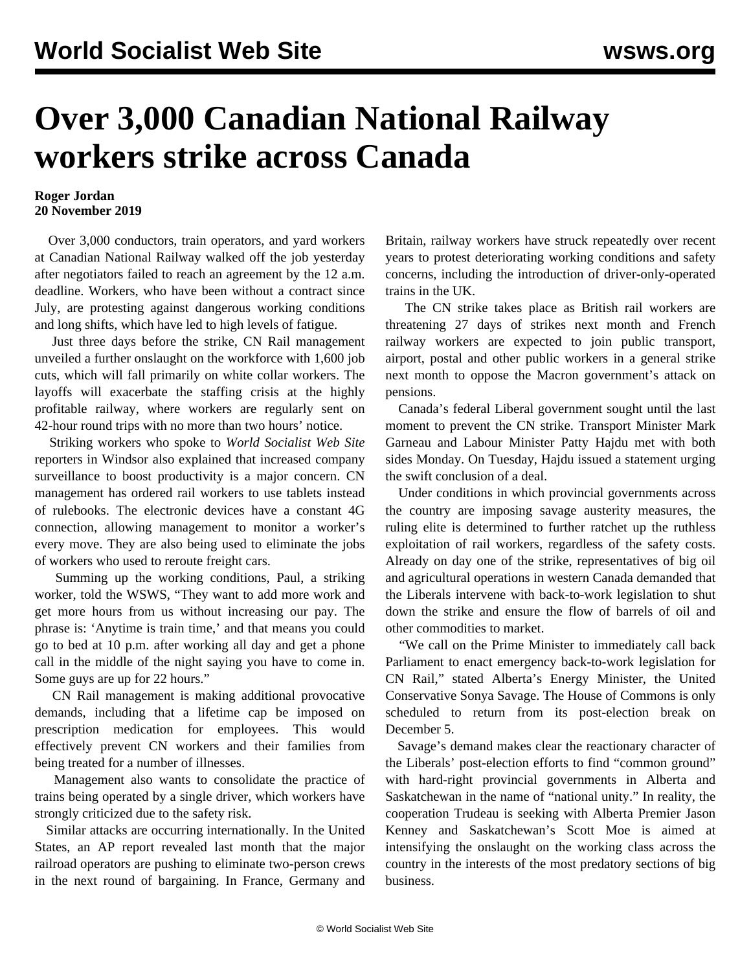## **Over 3,000 Canadian National Railway workers strike across Canada**

## **Roger Jordan 20 November 2019**

 Over 3,000 conductors, train operators, and yard workers at Canadian National Railway walked off the job yesterday after negotiators failed to reach an agreement by the 12 a.m. deadline. Workers, who have been without a contract since July, are protesting against dangerous working conditions and long shifts, which have led to high levels of fatigue.

 Just three days before the strike, CN Rail management unveiled a further onslaught on the workforce with 1,600 job cuts, which will fall primarily on white collar workers. The layoffs will exacerbate the staffing crisis at the highly profitable railway, where workers are regularly sent on 42-hour round trips with no more than two hours' notice.

 Striking workers who spoke to *World Socialist Web Site* reporters in Windsor also explained that increased company surveillance to boost productivity is a major concern. CN management has ordered rail workers to use tablets instead of rulebooks. The electronic devices have a constant 4G connection, allowing management to monitor a worker's every move. They are also being used to eliminate the jobs of workers who used to reroute freight cars.

 Summing up the working conditions, Paul, a striking worker, told the WSWS, "They want to add more work and get more hours from us without increasing our pay. The phrase is: 'Anytime is train time,' and that means you could go to bed at 10 p.m. after working all day and get a phone call in the middle of the night saying you have to come in. Some guys are up for 22 hours."

 CN Rail management is making additional provocative demands, including that a lifetime cap be imposed on prescription medication for employees. This would effectively prevent CN workers and their families from being treated for a number of illnesses.

 Management also wants to consolidate the practice of trains being operated by a single driver, which workers have strongly criticized due to the safety risk.

 Similar attacks are occurring internationally. In the United States, an AP report revealed last month that the major railroad operators are pushing to eliminate two-person crews in the next round of bargaining. In France, Germany and Britain, railway workers have struck repeatedly over recent years to protest deteriorating working conditions and safety concerns, including the introduction of driver-only-operated trains in the UK.

 The CN strike takes place as British rail workers are threatening 27 days of strikes next month and French railway workers are expected to join public transport, airport, postal and other public workers in a general strike next month to oppose the Macron government's attack on pensions.

 Canada's federal Liberal government sought until the last moment to prevent the CN strike. Transport Minister Mark Garneau and Labour Minister Patty Hajdu met with both sides Monday. On Tuesday, Hajdu issued a statement urging the swift conclusion of a deal.

 Under conditions in which provincial governments across the country are imposing savage austerity measures, the ruling elite is determined to further ratchet up the ruthless exploitation of rail workers, regardless of the safety costs. Already on day one of the strike, representatives of big oil and agricultural operations in western Canada demanded that the Liberals intervene with back-to-work legislation to shut down the strike and ensure the flow of barrels of oil and other commodities to market.

 "We call on the Prime Minister to immediately call back Parliament to enact emergency back-to-work legislation for CN Rail," stated Alberta's Energy Minister, the United Conservative Sonya Savage. The House of Commons is only scheduled to return from its post-election break on December 5.

 Savage's demand makes clear the reactionary character of the Liberals' post-election efforts to find "common ground" with hard-right provincial governments in Alberta and Saskatchewan in the name of "national unity." In reality, the cooperation Trudeau is seeking with Alberta Premier Jason Kenney and Saskatchewan's Scott Moe is aimed at intensifying the onslaught on the working class across the country in the interests of the most predatory sections of big business.